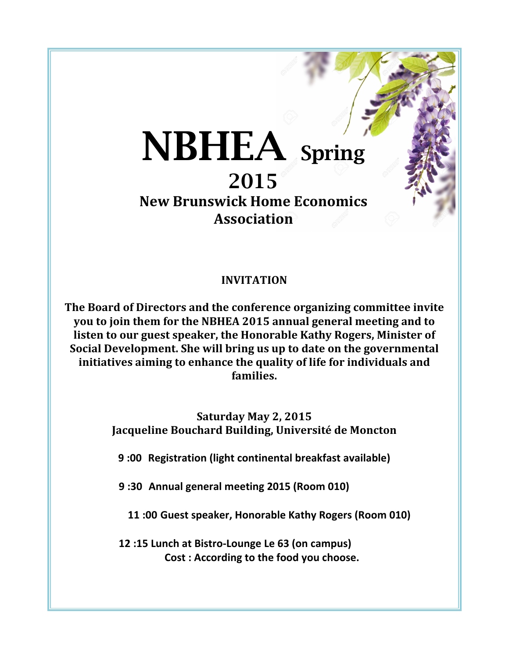# NBHEA Spring 2015

**New Brunswick Home Economics Association**

# **INVITATION**

The Board of Directors and the conference organizing committee invite **you to join them for the NBHEA 2015 annual general meeting and to** listen to our guest speaker, the Honorable Kathy Rogers, Minister of **Social Development. She will bring us up to date on the governmental initiatives aiming to enhance the quality of life for individuals and** families.

> **Saturday May 2, 2015** Jacqueline Bouchard Building, Université de Moncton

**9 :00 Registration (light continental breakfast available)**

**9 :30 Annual general meeting 2015 (Room 010)**

**11 :00 Guest speaker, Honorable Kathy Rogers (Room 010)**

**12 :15 Lunch at Bistro-Lounge Le 63 (on campus) Cost** : According to the food you choose.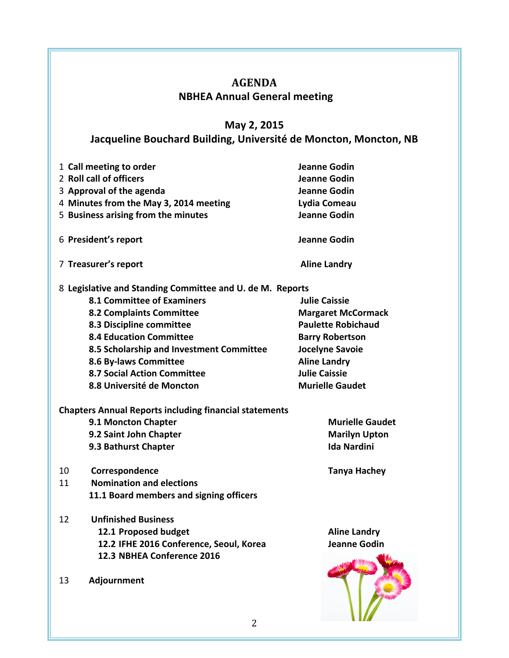# **AGENDA NBHEA Annual General meeting**

# **May 2, 2015**

# Jacqueline Bouchard Building, Université de Moncton, Moncton, NB

| 1 Call meeting to order                                       | <b>Jeanne Godin</b>       |
|---------------------------------------------------------------|---------------------------|
| 2 Roll call of officers                                       | Jeanne Godin              |
| 3 Approval of the agenda                                      | <b>Jeanne Godin</b>       |
| 4 Minutes from the May 3, 2014 meeting                        | Lydia Comeau              |
| 5 Business arising from the minutes                           | Jeanne Godin              |
| 6 President's report                                          | Jeanne Godin              |
| 7 Treasurer's report                                          | <b>Aline Landry</b>       |
| 8 Legislative and Standing Committee and U. de M. Reports     |                           |
| <b>8.1 Committee of Examiners</b>                             | <b>Julie Caissie</b>      |
| <b>8.2 Complaints Committee</b>                               | <b>Margaret McCormack</b> |
| 8.3 Discipline committee                                      | <b>Paulette Robichaud</b> |
| <b>8.4 Education Committee</b>                                | <b>Barry Robertson</b>    |
| 8.5 Scholarship and Investment Committee                      | Jocelyne Savoie           |
| 8.6 By-laws Committee                                         | <b>Aline Landry</b>       |
| 8.7 Social Action Committee                                   | <b>Julie Caissie</b>      |
| 8.8 Université de Moncton                                     | <b>Murielle Gaudet</b>    |
| <b>Chapters Annual Reports including financial statements</b> |                           |
| 9.1 Moncton Chapter                                           | <b>Murielle Gaudet</b>    |
| 9.2 Saint John Chapter                                        | <b>Marilyn Upton</b>      |
| 9.3 Bathurst Chapter                                          | <b>Ida Nardini</b>        |
|                                                               |                           |
| 10<br>Correspondence                                          | <b>Tanya Hachey</b>       |
| <b>Nomination and elections</b><br>11                         |                           |
| 11.1 Board members and signing officers                       |                           |
|                                                               |                           |
| <b>Unfinished Business</b><br>12                              |                           |
| 12.1 Proposed budget                                          | <b>Aline Landry</b>       |
| 12.2 IFHE 2016 Conference, Seoul, Korea                       | <b>Jeanne Godin</b>       |
| 12.3 NBHEA Conference 2016                                    |                           |
| Adjournment<br>13                                             |                           |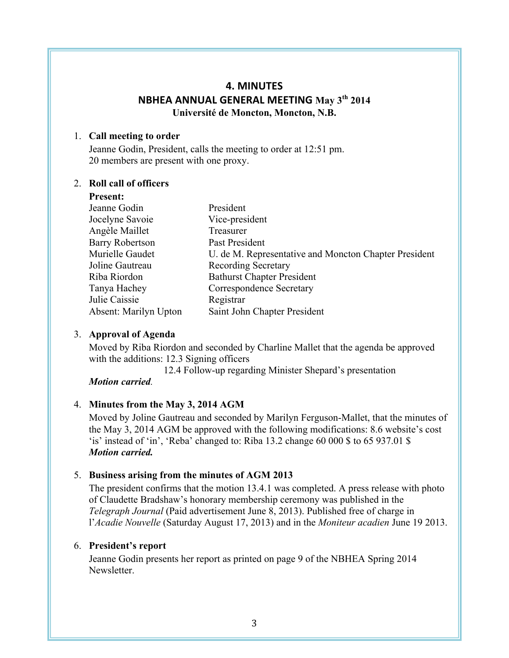## **4. MINUTES NBHEA ANNUAL GENERAL MEETING May 3th 2014 Université de Moncton, Moncton, N.B.**

#### 1. **Call meeting to order**

Jeanne Godin, President, calls the meeting to order at 12:51 pm. 20 members are present with one proxy.

#### 2. **Roll call of officers**

**Present:**

| Jeanne Godin           | President                                             |
|------------------------|-------------------------------------------------------|
| Jocelyne Savoie        | Vice-president                                        |
| Angèle Maillet         | Treasurer                                             |
| <b>Barry Robertson</b> | Past President                                        |
| Murielle Gaudet        | U. de M. Representative and Moncton Chapter President |
| Joline Gautreau        | <b>Recording Secretary</b>                            |
| Riba Riordon           | <b>Bathurst Chapter President</b>                     |
| Tanya Hachey           | Correspondence Secretary                              |
| Julie Caissie          | Registrar                                             |
| Absent: Marilyn Upton  | Saint John Chapter President                          |
|                        |                                                       |

## 3. **Approval of Agenda**

Moved by Riba Riordon and seconded by Charline Mallet that the agenda be approved with the additions: 12.3 Signing officers

12.4 Follow-up regarding Minister Shepard's presentation

*Motion carried.*

## 4. **Minutes from the May 3, 2014 AGM**

Moved by Joline Gautreau and seconded by Marilyn Ferguson-Mallet, that the minutes of the May 3, 2014 AGM be approved with the following modifications: 8.6 website's cost 'is' instead of 'in', 'Reba' changed to: Riba 13.2 change 60 000 \$ to 65 937.01 \$ *Motion carried.*

## 5. **Business arising from the minutes of AGM 2013**

The president confirms that the motion 13.4.1 was completed. A press release with photo of Claudette Bradshaw's honorary membership ceremony was published in the *Telegraph Journal* (Paid advertisement June 8, 2013). Published free of charge in l'*Acadie Nouvelle* (Saturday August 17, 2013) and in the *Moniteur acadien* June 19 2013.

## 6. **President's report**

Jeanne Godin presents her report as printed on page 9 of the NBHEA Spring 2014 **Newsletter**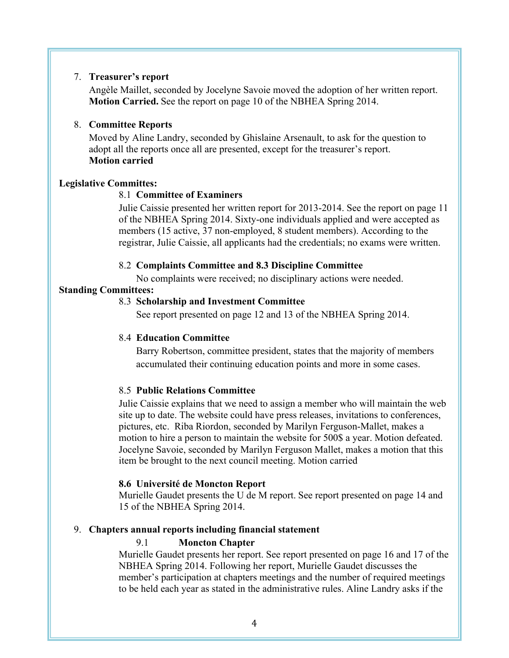#### 7. **Treasurer's report**

Angèle Maillet, seconded by Jocelyne Savoie moved the adoption of her written report. **Motion Carried.** See the report on page 10 of the NBHEA Spring 2014.

#### 8. **Committee Reports**

Moved by Aline Landry, seconded by Ghislaine Arsenault, to ask for the question to adopt all the reports once all are presented, except for the treasurer's report. **Motion carried**

#### **Legislative Committes:**

#### 8.1 **Committee of Examiners**

Julie Caissie presented her written report for 2013-2014. See the report on page 11 of the NBHEA Spring 2014. Sixty-one individuals applied and were accepted as members (15 active, 37 non-employed, 8 student members). According to the registrar, Julie Caissie, all applicants had the credentials; no exams were written.

#### 8.2 **Complaints Committee and 8.3 Discipline Committee**

No complaints were received; no disciplinary actions were needed.

#### **Standing Committees:**

#### 8.3 **Scholarship and Investment Committee**

See report presented on page 12 and 13 of the NBHEA Spring 2014.

#### 8.4 **Education Committee**

Barry Robertson, committee president, states that the majority of members accumulated their continuing education points and more in some cases.

#### 8.5 **Public Relations Committee**

Julie Caissie explains that we need to assign a member who will maintain the web site up to date. The website could have press releases, invitations to conferences, pictures, etc. Riba Riordon, seconded by Marilyn Ferguson-Mallet, makes a motion to hire a person to maintain the website for 500\$ a year. Motion defeated. Jocelyne Savoie, seconded by Marilyn Ferguson Mallet, makes a motion that this item be brought to the next council meeting. Motion carried

#### **8.6 Université de Moncton Report**

Murielle Gaudet presents the U de M report. See report presented on page 14 and 15 of the NBHEA Spring 2014.

#### 9. **Chapters annual reports including financial statement**

#### 9.1 **Moncton Chapter**

Murielle Gaudet presents her report. See report presented on page 16 and 17 of the NBHEA Spring 2014. Following her report, Murielle Gaudet discusses the member's participation at chapters meetings and the number of required meetings to be held each year as stated in the administrative rules. Aline Landry asks if the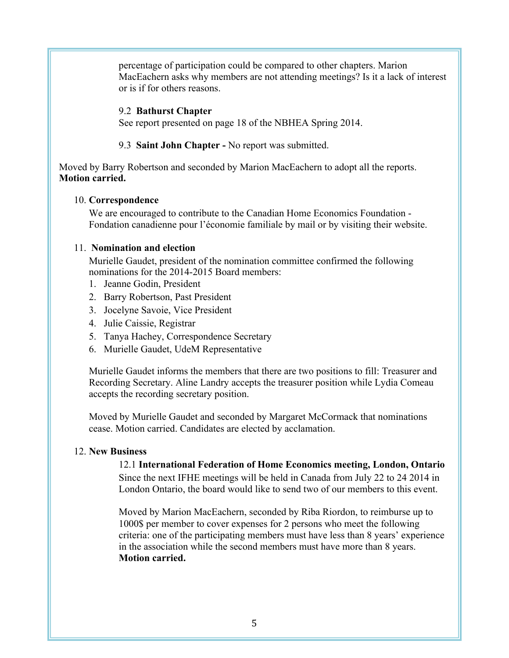percentage of participation could be compared to other chapters. Marion MacEachern asks why members are not attending meetings? Is it a lack of interest or is if for others reasons.

#### 9.2 **Bathurst Chapter**

See report presented on page 18 of the NBHEA Spring 2014.

9.3 **Saint John Chapter -** No report was submitted.

Moved by Barry Robertson and seconded by Marion MacEachern to adopt all the reports. **Motion carried.**

#### 10. **Correspondence**

We are encouraged to contribute to the Canadian Home Economics Foundation - Fondation canadienne pour l'économie familiale by mail or by visiting their website.

#### 11. **Nomination and election**

Murielle Gaudet, president of the nomination committee confirmed the following nominations for the 2014-2015 Board members:

- 1. Jeanne Godin, President
- 2. Barry Robertson, Past President
- 3. Jocelyne Savoie, Vice President
- 4. Julie Caissie, Registrar
- 5. Tanya Hachey, Correspondence Secretary
- 6. Murielle Gaudet, UdeM Representative

Murielle Gaudet informs the members that there are two positions to fill: Treasurer and Recording Secretary. Aline Landry accepts the treasurer position while Lydia Comeau accepts the recording secretary position.

Moved by Murielle Gaudet and seconded by Margaret McCormack that nominations cease. Motion carried. Candidates are elected by acclamation.

## 12. **New Business**

12.1 **International Federation of Home Economics meeting, London, Ontario** Since the next IFHE meetings will be held in Canada from July 22 to 24 2014 in London Ontario, the board would like to send two of our members to this event.

Moved by Marion MacEachern, seconded by Riba Riordon, to reimburse up to 1000\$ per member to cover expenses for 2 persons who meet the following criteria: one of the participating members must have less than 8 years' experience in the association while the second members must have more than 8 years. **Motion carried.**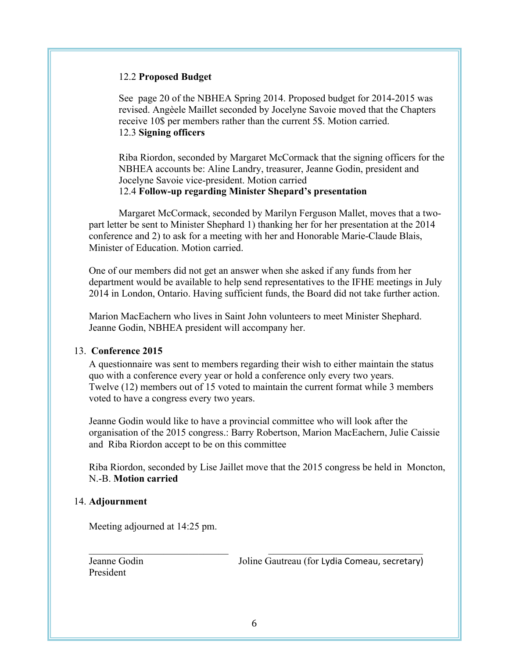#### 12.2 **Proposed Budget**

See page 20 of the NBHEA Spring 2014. Proposed budget for 2014-2015 was revised. Angèele Maillet seconded by Jocelyne Savoie moved that the Chapters receive 10\$ per members rather than the current 5\$. Motion carried. 12.3 **Signing officers**

Riba Riordon, seconded by Margaret McCormack that the signing officers for the NBHEA accounts be: Aline Landry, treasurer, Jeanne Godin, president and Jocelyne Savoie vice-president. Motion carried 12.4 **Follow-up regarding Minister Shepard's presentation**

Margaret McCormack, seconded by Marilyn Ferguson Mallet, moves that a twopart letter be sent to Minister Shephard 1) thanking her for her presentation at the 2014 conference and 2) to ask for a meeting with her and Honorable Marie-Claude Blais, Minister of Education. Motion carried.

One of our members did not get an answer when she asked if any funds from her department would be available to help send representatives to the IFHE meetings in July 2014 in London, Ontario. Having sufficient funds, the Board did not take further action.

Marion MacEachern who lives in Saint John volunteers to meet Minister Shephard. Jeanne Godin, NBHEA president will accompany her.

## 13. **Conference 2015**

A questionnaire was sent to members regarding their wish to either maintain the status quo with a conference every year or hold a conference only every two years. Twelve (12) members out of 15 voted to maintain the current format while 3 members voted to have a congress every two years.

Jeanne Godin would like to have a provincial committee who will look after the organisation of the 2015 congress.: Barry Robertson, Marion MacEachern, Julie Caissie and Riba Riordon accept to be on this committee

Riba Riordon, seconded by Lise Jaillet move that the 2015 congress be held in Moncton, N.-B. **Motion carried**

#### 14. **Adjournment**

Meeting adjourned at 14:25 pm.

President

Jeanne Godin Joline Gautreau (for Lydia Comeau, secretary)

 $\mathcal{L}_\text{max}$  , and the contribution of the contribution of the contribution of the contribution of the contribution of the contribution of the contribution of the contribution of the contribution of the contribution of t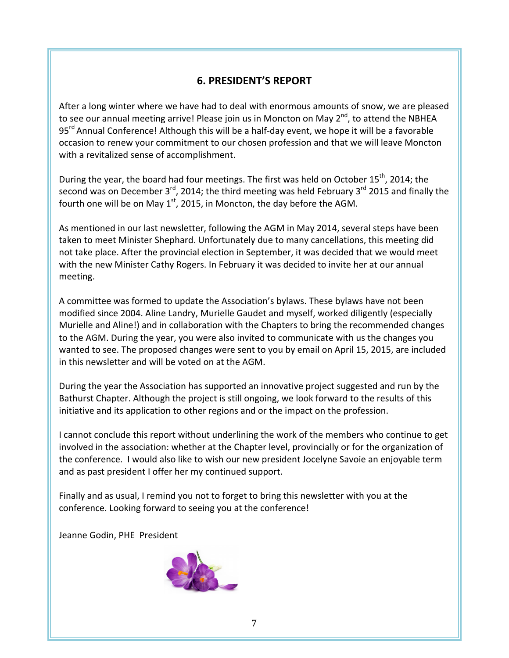# **6. PRESIDENT'S REPORT**

After a long winter where we have had to deal with enormous amounts of snow, we are pleased to see our annual meeting arrive! Please join us in Moncton on May 2<sup>nd</sup>, to attend the NBHEA  $95<sup>rd</sup>$  Annual Conference! Although this will be a half-day event, we hope it will be a favorable occasion to renew your commitment to our chosen profession and that we will leave Moncton with a revitalized sense of accomplishment.

During the year, the board had four meetings. The first was held on October 15<sup>th</sup>, 2014; the second was on December  $3^{rd}$ , 2014; the third meeting was held February  $3^{rd}$  2015 and finally the fourth one will be on May  $1^{st}$ , 2015, in Moncton, the day before the AGM.

As mentioned in our last newsletter, following the AGM in May 2014, several steps have been taken to meet Minister Shephard. Unfortunately due to many cancellations, this meeting did not take place. After the provincial election in September, it was decided that we would meet with the new Minister Cathy Rogers. In February it was decided to invite her at our annual meeting.

A committee was formed to update the Association's bylaws. These bylaws have not been modified since 2004. Aline Landry, Murielle Gaudet and myself, worked diligently (especially Murielle and Aline!) and in collaboration with the Chapters to bring the recommended changes to the AGM. During the year, you were also invited to communicate with us the changes you wanted to see. The proposed changes were sent to you by email on April 15, 2015, are included in this newsletter and will be voted on at the AGM.

During the year the Association has supported an innovative project suggested and run by the Bathurst Chapter. Although the project is still ongoing, we look forward to the results of this initiative and its application to other regions and or the impact on the profession.

I cannot conclude this report without underlining the work of the members who continue to get involved in the association: whether at the Chapter level, provincially or for the organization of the conference. I would also like to wish our new president Jocelyne Savoie an enjoyable term and as past president I offer her my continued support.

Finally and as usual, I remind you not to forget to bring this newsletter with you at the conference. Looking forward to seeing you at the conference!

Jeanne Godin, PHE President

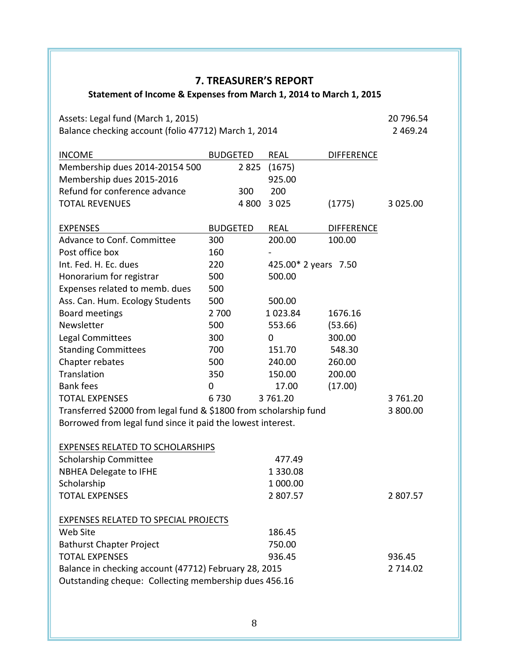# **7. TREASURER'S REPORT**

# Statement of Income & Expenses from March 1, 2014 to March 1, 2015

Assets: Legal fund (March 1, 2015) 20 796.54 Balance checking account (folio 47712) March 1, 2014 **28 and 2014** 2 469.24

| <b>INCOME</b>                                                                                                  | <b>BUDGETED</b> |         | <b>REAL</b>          | <b>DIFFERENCE</b> |             |
|----------------------------------------------------------------------------------------------------------------|-----------------|---------|----------------------|-------------------|-------------|
| Membership dues 2014-20154 500                                                                                 |                 | 2825    | (1675)               |                   |             |
| Membership dues 2015-2016                                                                                      |                 |         | 925.00               |                   |             |
| Refund for conference advance                                                                                  |                 | 300     | 200                  |                   |             |
| <b>TOTAL REVENUES</b>                                                                                          |                 | 4 8 0 0 | 3 0 2 5              | (1775)            | 3 0 2 5 .00 |
| <b>EXPENSES</b>                                                                                                | <b>BUDGETED</b> |         | <b>REAL</b>          | <b>DIFFERENCE</b> |             |
| Advance to Conf. Committee                                                                                     | 300             |         | 200.00               | 100.00            |             |
| Post office box                                                                                                | 160             |         |                      |                   |             |
| Int. Fed. H. Ec. dues                                                                                          | 220             |         | 425.00* 2 years 7.50 |                   |             |
| Honorarium for registrar                                                                                       | 500             |         | 500.00               |                   |             |
| Expenses related to memb. dues                                                                                 | 500             |         |                      |                   |             |
| Ass. Can. Hum. Ecology Students                                                                                | 500             |         | 500.00               |                   |             |
| <b>Board meetings</b>                                                                                          | 2 700           |         | 1023.84              | 1676.16           |             |
| Newsletter                                                                                                     | 500             |         | 553.66               | (53.66)           |             |
| Legal Committees                                                                                               | 300             |         | 0                    | 300.00            |             |
| <b>Standing Committees</b>                                                                                     | 700             |         | 151.70               | 548.30            |             |
| Chapter rebates                                                                                                | 500             |         | 240.00               | 260.00            |             |
| Translation                                                                                                    | 350             |         | 150.00               | 200.00            |             |
| <b>Bank fees</b>                                                                                               | 0               |         | 17.00                | (17.00)           |             |
| <b>TOTAL EXPENSES</b>                                                                                          | 6730            |         | 3761.20              |                   | 3761.20     |
| Transferred \$2000 from legal fund & \$1800 from scholarship fund                                              |                 |         |                      |                   | 3 800.00    |
| Borrowed from legal fund since it paid the lowest interest.                                                    |                 |         |                      |                   |             |
| <b>EXPENSES RELATED TO SCHOLARSHIPS</b>                                                                        |                 |         |                      |                   |             |
| Scholarship Committee                                                                                          |                 |         | 477.49               |                   |             |
| <b>NBHEA Delegate to IFHE</b>                                                                                  |                 |         | 1 3 3 0 . 0 8        |                   |             |
| Scholarship                                                                                                    |                 |         | 1 000.00             |                   |             |
| <b>TOTAL EXPENSES</b>                                                                                          |                 |         | 2807.57              |                   | 2807.57     |
| <b>EXPENSES RELATED TO SPECIAL PROJECTS</b>                                                                    |                 |         |                      |                   |             |
| Web Site                                                                                                       |                 |         | 186.45               |                   |             |
| <b>Bathurst Chapter Project</b>                                                                                |                 |         | 750.00               |                   |             |
| <b>TOTAL EXPENSES</b>                                                                                          |                 |         | 936.45               |                   | 936.45      |
| Balance in checking account (47712) February 28, 2015<br>Outstanding cheque: Collecting membership dues 456.16 |                 |         |                      |                   | 2 7 14.02   |

8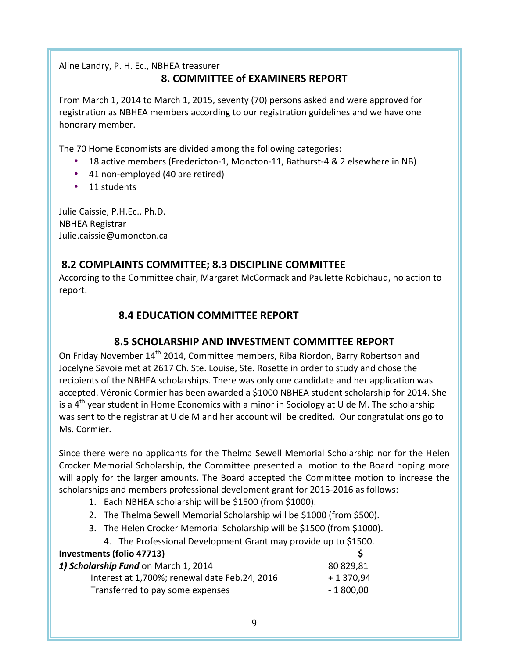Aline Landry, P. H. Ec., NBHEA treasurer **8. COMMITTEE of EXAMINERS REPORT**

From March 1, 2014 to March 1, 2015, seventy (70) persons asked and were approved for registration as NBHEA members according to our registration guidelines and we have one honorary member.

The 70 Home Economists are divided among the following categories:

- 18 active members (Fredericton-1, Moncton-11, Bathurst-4 & 2 elsewhere in NB)
- 41 non-employed (40 are retired)
- 11 students

Julie Caissie, P.H.Ec., Ph.D. NBHEA Registrar Julie.caissie@umoncton.ca

# **8.2 COMPLAINTS COMMITTEE; 8.3 DISCIPLINE COMMITTEE**

According to the Committee chair, Margaret McCormack and Paulette Robichaud, no action to report.

# **8.4 EDUCATION COMMITTEE REPORT**

# **8.5 SCHOLARSHIP AND INVESTMENT COMMITTEE REPORT**

On Friday November 14<sup>th</sup> 2014, Committee members, Riba Riordon, Barry Robertson and Jocelyne Savoie met at 2617 Ch. Ste. Louise, Ste. Rosette in order to study and chose the recipients of the NBHEA scholarships. There was only one candidate and her application was accepted. Véronic Cormier has been awarded a \$1000 NBHEA student scholarship for 2014. She is a  $4<sup>th</sup>$  year student in Home Economics with a minor in Sociology at U de M. The scholarship was sent to the registrar at U de M and her account will be credited. Our congratulations go to Ms. Cormier.

Since there were no applicants for the Thelma Sewell Memorial Scholarship nor for the Helen Crocker Memorial Scholarship, the Committee presented a motion to the Board hoping more will apply for the larger amounts. The Board accepted the Committee motion to increase the scholarships and members professional develoment grant for 2015-2016 as follows:

- 1. Each NBHEA scholarship will be \$1500 (from \$1000).
- 2. The Thelma Sewell Memorial Scholarship will be \$1000 (from \$500).
- 3. The Helen Crocker Memorial Scholarship will be \$1500 (from \$1000).
	- 4. The Professional Development Grant may provide up to \$1500.

| <b>Investments (folio 47713)</b>              |            |
|-----------------------------------------------|------------|
| 1) Scholarship Fund on March 1, 2014          | 80 829,81  |
| Interest at 1,700%; renewal date Feb.24, 2016 | $+1370,94$ |
| Transferred to pay some expenses              | - 1 800,00 |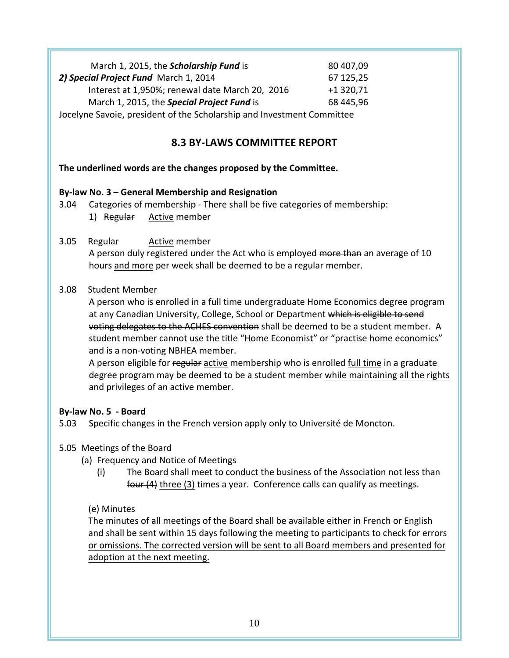| March 1, 2015, the Scholarship Fund is                                 | 80 407,09  |
|------------------------------------------------------------------------|------------|
| 2) Special Project Fund March 1, 2014                                  | 67 125,25  |
| Interest at 1,950%; renewal date March 20, 2016                        | $+1320,71$ |
| March 1, 2015, the Special Project Fund is                             | 68 445,96  |
| Jocelyne Savoie, president of the Scholarship and Investment Committee |            |

## **8.3 BY-LAWS COMMITTEE REPORT**

The underlined words are the changes proposed by the Committee.

#### **By-law No. 3 – General Membership and Resignation**

3.04 Categories of membership - There shall be five categories of membership: 1) Regular Active member

3.05 Regular Active member

A person duly registered under the Act who is employed more than an average of 10 hours and more per week shall be deemed to be a regular member.

#### 3.08 Student Member

A person who is enrolled in a full time undergraduate Home Economics degree program at any Canadian University, College, School or Department which is eligible to send voting delegates to the ACHES convention shall be deemed to be a student member. A student member cannot use the title "Home Economist" or "practise home economics" and is a non-voting NBHEA member.

A person eligible for regular active membership who is enrolled full time in a graduate degree program may be deemed to be a student member while maintaining all the rights and privileges of an active member.

## **By-law No. 5 - Board**

5.03 Specific changes in the French version apply only to Université de Moncton.

## 5.05 Meetings of the Board

- (a) Frequency and Notice of Meetings
	- (i) The Board shall meet to conduct the business of the Association not less than four  $(4)$  three  $(3)$  times a year. Conference calls can qualify as meetings.

## (e) Minutes

The minutes of all meetings of the Board shall be available either in French or English and shall be sent within 15 days following the meeting to participants to check for errors or omissions. The corrected version will be sent to all Board members and presented for adoption at the next meeting.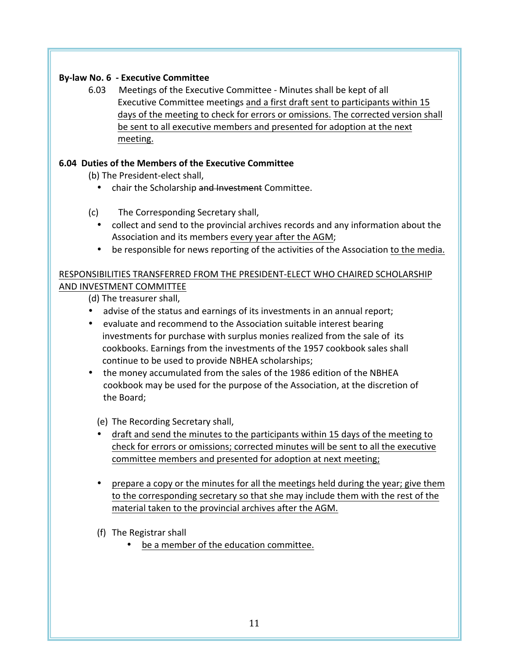## **By-law No. 6 - Executive Committee**

6.03 Meetings of the Executive Committee - Minutes shall be kept of all Executive Committee meetings and a first draft sent to participants within 15 days of the meeting to check for errors or omissions. The corrected version shall be sent to all executive members and presented for adoption at the next meeting. 

## **6.04 Duties of the Members of the Executive Committee**

(b) The President-elect shall,

- chair the Scholarship and Investment Committee.
- (c) The Corresponding Secretary shall,
	- collect and send to the provincial archives records and any information about the Association and its members every year after the AGM;
	- be responsible for news reporting of the activities of the Association to the media.

## RESPONSIBILITIES TRANSFERRED FROM THE PRESIDENT-ELECT WHO CHAIRED SCHOLARSHIP AND INVESTMENT COMMITTEE

(d) The treasurer shall,

- advise of the status and earnings of its investments in an annual report;
- evaluate and recommend to the Association suitable interest bearing investments for purchase with surplus monies realized from the sale of its cookbooks. Earnings from the investments of the 1957 cookbook sales shall continue to be used to provide NBHEA scholarships;
- the money accumulated from the sales of the 1986 edition of the NBHEA cookbook may be used for the purpose of the Association, at the discretion of the Board;

(e) The Recording Secretary shall,

- draft and send the minutes to the participants within 15 days of the meeting to check for errors or omissions; corrected minutes will be sent to all the executive committee members and presented for adoption at next meeting;
- prepare a copy or the minutes for all the meetings held during the year; give them to the corresponding secretary so that she may include them with the rest of the material taken to the provincial archives after the AGM.
- (f) The Registrar shall
	- be a member of the education committee.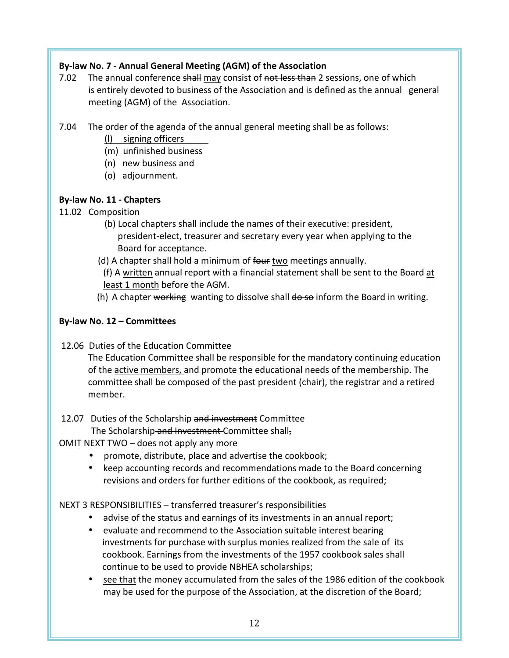## By-law No. 7 - Annual General Meeting (AGM) of the Association

- 7.02 The annual conference shall may consist of not less than 2 sessions, one of which is entirely devoted to business of the Association and is defined as the annual general meeting (AGM) of the Association.
- 7.04 The order of the agenda of the annual general meeting shall be as follows:
	- (l) signing officers
	- (m) unfinished business
	- (n) new business and
	- (o) adjournment.

## **By-law No. 11 - Chapters**

## 11.02 Composition

- (b) Local chapters shall include the names of their executive: president, president-elect, treasurer and secretary every year when applying to the Board for acceptance.
- (d) A chapter shall hold a minimum of four two meetings annually.

(f) A written annual report with a financial statement shall be sent to the Board at least 1 month before the AGM.

(h) A chapter working wanting to dissolve shall  $d\theta$  so inform the Board in writing.

## **By-law No. 12 – Committees**

12.06 Duties of the Education Committee

The Education Committee shall be responsible for the mandatory continuing education of the active members, and promote the educational needs of the membership. The committee shall be composed of the past president (chair), the registrar and a retired member.

#### 12.07 Duties of the Scholarship and investment Committee The Scholarship and Investment Committee shall,

OMIT NEXT TWO – does not apply any more

- promote, distribute, place and advertise the cookbook;
- keep accounting records and recommendations made to the Board concerning revisions and orders for further editions of the cookbook, as required;

## NEXT 3 RESPONSIBILITIES - transferred treasurer's responsibilities

- advise of the status and earnings of its investments in an annual report;
- evaluate and recommend to the Association suitable interest bearing investments for purchase with surplus monies realized from the sale of its cookbook. Earnings from the investments of the 1957 cookbook sales shall continue to be used to provide NBHEA scholarships;
- see that the money accumulated from the sales of the 1986 edition of the cookbook may be used for the purpose of the Association, at the discretion of the Board;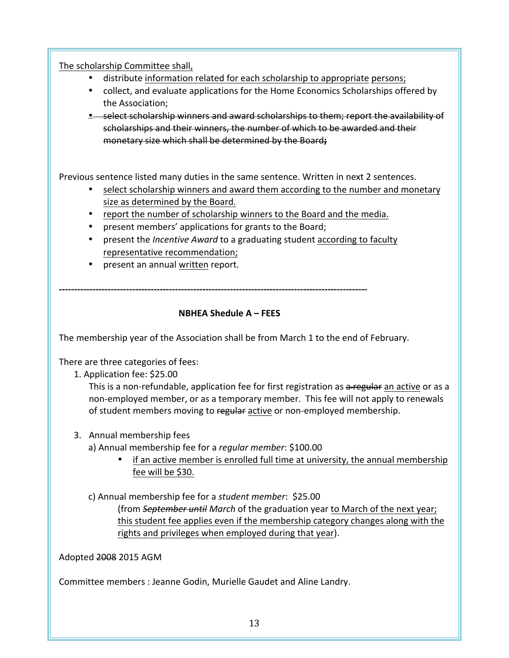The scholarship Committee shall,

- distribute information related for each scholarship to appropriate persons;
- collect, and evaluate applications for the Home Economics Scholarships offered by the Association:
- . select scholarship winners and award scholarships to them; report the availability of scholarships and their winners, the number of which to be awarded and their monetary size which shall be determined by the Board;

Previous sentence listed many duties in the same sentence. Written in next 2 sentences.

- select scholarship winners and award them according to the number and monetary size as determined by the Board.
- report the number of scholarship winners to the Board and the media.
- present members' applications for grants to the Board;
- present the *Incentive Award* to a graduating student according to faculty representative recommendation;
- present an annual written report.

**-----------------------------------------------------------------------------------------------------**

## **NBHEA Shedule A – FEES**

The membership year of the Association shall be from March 1 to the end of February.

There are three categories of fees:

1. Application fee: \$25.00

This is a non-refundable, application fee for first registration as a-regular an active or as a non-employed member, or as a temporary member. This fee will not apply to renewals of student members moving to regular active or non-employed membership.

- 3. Annual membership fees
	- a) Annual membership fee for a *regular member*: \$100.00
		- if an active member is enrolled full time at university, the annual membership fee will be \$30.
	- c) Annual membership fee for a *student member*: \$25.00 (from *September until March* of the graduation year to March of the next year; this student fee applies even if the membership category changes along with the rights and privileges when employed during that year).

Adopted 2008 2015 AGM

Committee members : Jeanne Godin, Murielle Gaudet and Aline Landry.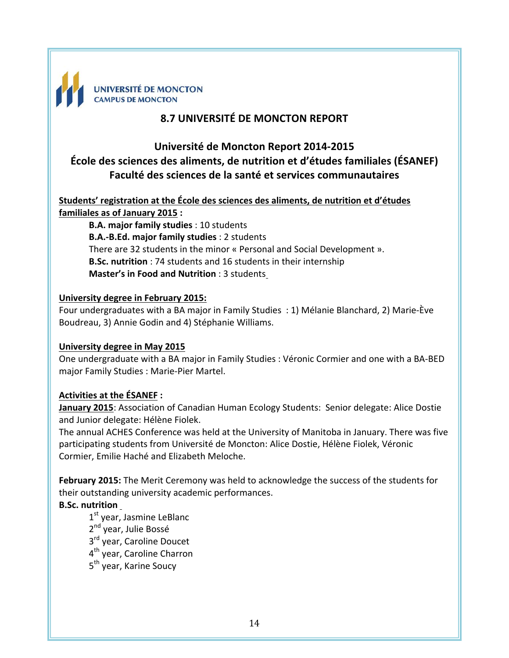

# **8.7 UNIVERSITÉ DE MONCTON REPORT**

# **Université de Moncton Report 2014-2015 École des sciences des aliments, de nutrition et d'études familiales (ÉSANEF) Faculté des sciences de la santé et services communautaires**

Students' registration at the École des sciences des aliments, de nutrition et d'études **familiales as of January 2015 :** 

**B.A. major family studies** : 10 students **B.A.-B.Ed. major family studies** : 2 students There are 32 students in the minor « Personal and Social Development ». **B.Sc. nutrition** : 74 students and 16 students in their internship **Master's in Food and Nutrition** : 3 students

#### **University degree in February 2015:**

Four undergraduates with a BA major in Family Studies : 1) Mélanie Blanchard, 2) Marie-Ève Boudreau, 3) Annie Godin and 4) Stéphanie Williams.

## **University degree in May 2015**

One undergraduate with a BA major in Family Studies : Véronic Cormier and one with a BA-BED major Family Studies : Marie-Pier Martel.

## **Activities at the ÉSANEF :**

**January 2015**: Association of Canadian Human Ecology Students: Senior delegate: Alice Dostie and Junior delegate: Hélène Fiolek.

The annual ACHES Conference was held at the University of Manitoba in January. There was five participating students from Université de Moncton: Alice Dostie, Hélène Fiolek, Véronic Cormier, Emilie Haché and Elizabeth Meloche.

**February 2015:** The Merit Ceremony was held to acknowledge the success of the students for their outstanding university academic performances.

## **B.Sc. nutrition**

1st year, Jasmine LeBlanc 2<sup>nd</sup> year, Julie Bossé 3<sup>rd</sup> year, Caroline Doucet 4<sup>th</sup> year, Caroline Charron 5<sup>th</sup> year, Karine Soucy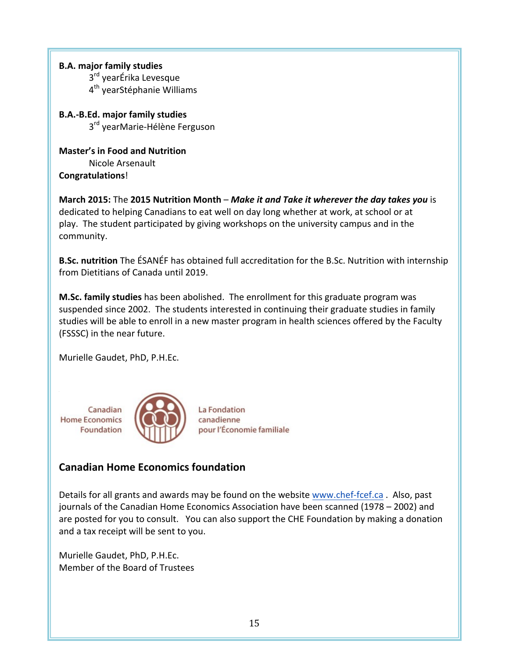**B.A. major family studies** 3<sup>rd</sup> yearÉrika Levesque 4<sup>th</sup> yearStéphanie Williams

**B.A.-B.Ed. major family studies** 3<sup>rd</sup> yearMarie-Hélène Ferguson

**Master's in Food and Nutrition** Nicole Arsenault **Congratulations**!

**March 2015:** The 2015 Nutrition Month – *Make it and Take it wherever the day takes you* is dedicated to helping Canadians to eat well on day long whether at work, at school or at play. The student participated by giving workshops on the university campus and in the community.

**B.Sc. nutrition** The ESANEF has obtained full accreditation for the B.Sc. Nutrition with internship from Dietitians of Canada until 2019.

**M.Sc. family studies** has been abolished. The enrollment for this graduate program was suspended since 2002. The students interested in continuing their graduate studies in family studies will be able to enroll in a new master program in health sciences offered by the Faculty (FSSSC) in the near future.

Murielle Gaudet, PhD, P.H.Ec.



# **Canadian Home Economics foundation**

Details for all grants and awards may be found on the website www.chef-fcef.ca. Also, past journals of the Canadian Home Economics Association have been scanned (1978 – 2002) and are posted for you to consult. You can also support the CHE Foundation by making a donation and a tax receipt will be sent to you.

Murielle Gaudet, PhD, P.H.Ec. Member of the Board of Trustees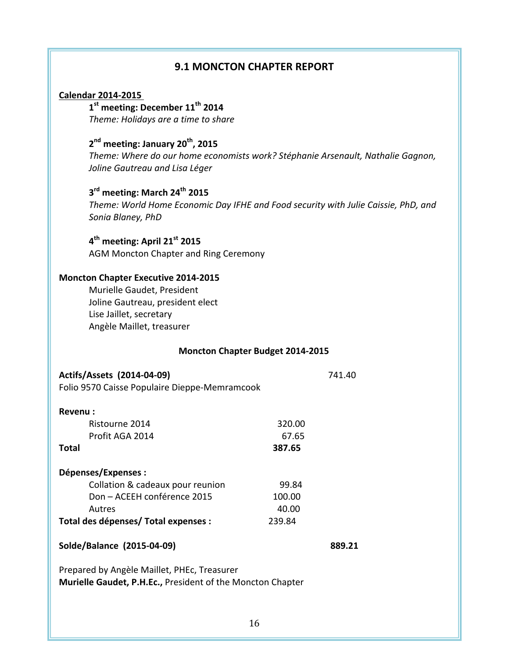## **9.1 MONCTON CHAPTER REPORT**

#### **Calendar 2014-2015**

**1st meeting: December 11th 2014** Theme: Holidays are a time to share

# 2<sup>nd</sup> meeting: January 20<sup>th</sup>, 2015

*Theme:* Where do our home economists work? Stéphanie Arsenault, Nathalie Gagnon, *Joline Gautreau and Lisa Léger*

# **3rd meeting: March 24th 2015**

Theme: World Home Economic Day IFHE and Food security with Julie Caissie, PhD, and *Sonia Blaney, PhD*

**4th meeting: April 21st 2015**

AGM Moncton Chapter and Ring Ceremony

#### **Moncton Chapter Executive 2014-2015**

Murielle Gaudet, President Joline Gautreau, president elect Lise Jaillet, secretary Angèle Maillet, treasurer

#### **Moncton Chapter Budget 2014-2015**

#### **Actifs/Assets (2014-04-09)** 741.40

Folio 9570 Caisse Populaire Dieppe-Memramcook

| Revenu:                              |        |
|--------------------------------------|--------|
| Ristourne 2014                       | 320.00 |
| Profit AGA 2014                      | 67.65  |
| <b>Total</b>                         | 387.65 |
| Dépenses/Expenses :                  |        |
| Collation & cadeaux pour reunion     | 99.84  |
| Don - ACEEH conférence 2015          | 100.00 |
| Autres                               | 40.00  |
| Total des dépenses/ Total expenses : | 239.84 |

| Solde/Balance (2015-04-09) |  | 889.21 |
|----------------------------|--|--------|
|----------------------------|--|--------|

Prepared by Angèle Maillet, PHEc, Treasurer **Murielle Gaudet, P.H.Ec., President of the Moncton Chapter**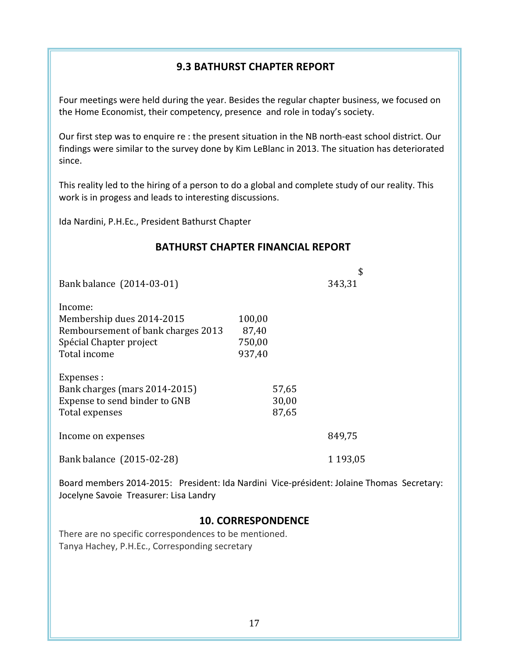## **9.3 BATHURST CHAPTER REPORT**

Four meetings were held during the year. Besides the regular chapter business, we focused on the Home Economist, their competency, presence and role in today's society.

Our first step was to enquire re : the present situation in the NB north-east school district. Our findings were similar to the survey done by Kim LeBlanc in 2013. The situation has deteriorated since. 

This reality led to the hiring of a person to do a global and complete study of our reality. This work is in progess and leads to interesting discussions.

Ida Nardini, P.H.Ec., President Bathurst Chapter

#### **BATHURST CHAPTER FINANCIAL REPORT**

|                                                                                                                       |                                     | \$            |
|-----------------------------------------------------------------------------------------------------------------------|-------------------------------------|---------------|
| Bank balance (2014-03-01)                                                                                             |                                     | 343,31        |
| Income:<br>Membership dues 2014-2015<br>Remboursement of bank charges 2013<br>Spécial Chapter project<br>Total income | 100,00<br>87,40<br>750,00<br>937,40 |               |
| Expenses :<br>Bank charges (mars 2014-2015)<br>Expense to send binder to GNB<br>Total expenses                        | 57,65<br>30,00<br>87,65             |               |
| Income on expenses                                                                                                    |                                     | 849,75        |
| Bank balance (2015-02-28)                                                                                             |                                     | 1 1 9 3 , 0 5 |

Board members 2014-2015: President: Ida Nardini Vice-président: Jolaine Thomas Secretary: Jocelyne Savoie Treasurer: Lisa Landry

## **10. CORRESPONDENCE**

There are no specific correspondences to be mentioned. Tanya Hachey, P.H.Ec., Corresponding secretary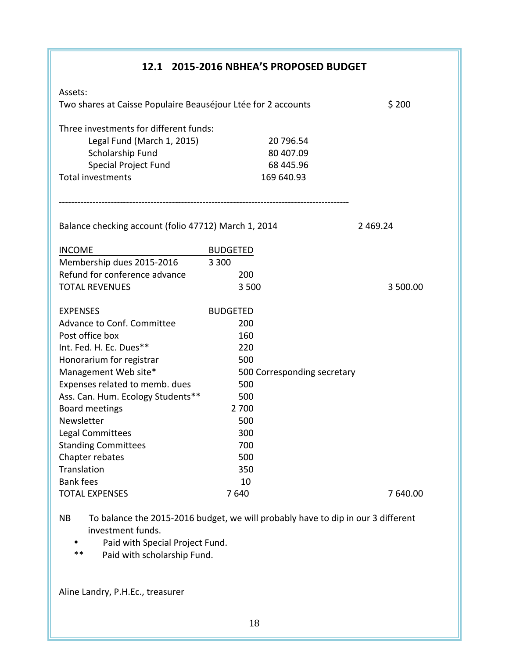|                                                               | 12.1 2015-2016 NBHEA'S PROPOSED BUDGET |            |
|---------------------------------------------------------------|----------------------------------------|------------|
| Assets:                                                       |                                        |            |
| Two shares at Caisse Populaire Beauséjour Ltée for 2 accounts |                                        | \$200      |
| Three investments for different funds:                        |                                        |            |
| Legal Fund (March 1, 2015)                                    | 20 796.54                              |            |
| Scholarship Fund                                              | 80 407.09                              |            |
| <b>Special Project Fund</b>                                   | 68 445.96                              |            |
| <b>Total investments</b>                                      | 169 640.93                             |            |
|                                                               |                                        |            |
| Balance checking account (folio 47712) March 1, 2014          |                                        | 2 4 6 9.24 |
| <b>INCOME</b>                                                 | <b>BUDGETED</b>                        |            |
| Membership dues 2015-2016                                     | 3 3 0 0                                |            |
| Refund for conference advance                                 | 200                                    |            |
| <b>TOTAL REVENUES</b>                                         | 3500                                   | 3 500.00   |
| <b>EXPENSES</b>                                               | <b>BUDGETED</b>                        |            |
| <b>Advance to Conf. Committee</b>                             | 200                                    |            |
| Post office box                                               | 160                                    |            |
| Int. Fed. H. Ec. Dues**                                       | 220                                    |            |
| Honorarium for registrar                                      | 500                                    |            |
| Management Web site*                                          | 500 Corresponding secretary            |            |
| Expenses related to memb. dues                                | 500                                    |            |
| Ass. Can. Hum. Ecology Students**                             | 500                                    |            |
| <b>Board meetings</b>                                         | 2 700                                  |            |
| Newsletter                                                    | 500                                    |            |
| Legal Committees                                              | 300                                    |            |
| <b>Standing Committees</b>                                    | 700                                    |            |
| Chapter rebates                                               | 500                                    |            |
| Translation                                                   | 350                                    |            |
| <b>Bank fees</b>                                              | 10                                     |            |
| <b>TOTAL EXPENSES</b>                                         | 7640                                   | 7 640.00   |

NB To balance the 2015-2016 budget, we will probably have to dip in our 3 different investment funds.

- Paid with Special Project Fund.<br>\*\* Paid with scholarshin Fund
- Paid with scholarship Fund.

Aline Landry, P.H.Ec., treasurer